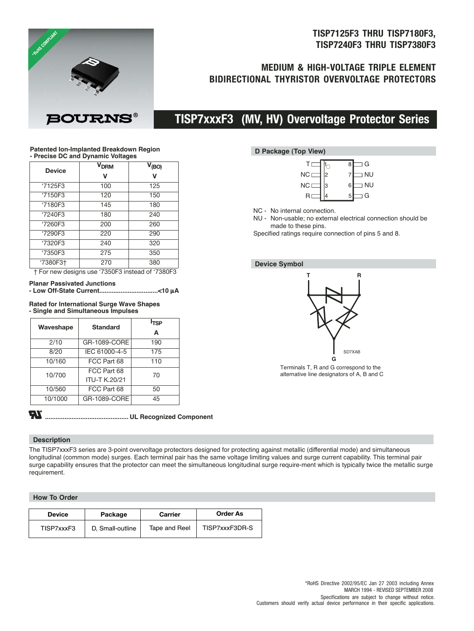## **TISP7125F3 THRU TISP7180F3, TISP7240F3 THRU TISP7380F3**

## **MEDIUM & HIGH-VOLTAGE TRIPLE ELEMENT BIDIRECTIONAL THYRISTOR OVERVOLTAGE PROTECTORS**



# **TISP7xxxF3 (MV, HV) Overvoltage Protector Series**

#### **Patented Ion-Implanted Breakdown Region - Precise DC and Dynamic Voltages**

| <b>Device</b> | <b>V<sub>DRM</sub></b>                                                             | $V_{(BO)}$ |
|---------------|------------------------------------------------------------------------------------|------------|
|               | v                                                                                  | V          |
| '7125F3       | 100                                                                                | 125        |
| '7150F3       | 120                                                                                | 150        |
| '7180F3       | 145                                                                                | 180        |
| '7240F3       | 180                                                                                | 240        |
| '7260F3       | 200                                                                                | 260        |
| '7290F3       | 220                                                                                | 290        |
| '7320F3       | 240                                                                                | 320        |
| '7350F3       | 275                                                                                | 350        |
| '7380F3+      | 270                                                                                | 380        |
|               | $+$ $\Gamma_{\alpha}$ now designs use (7050 $\Gamma$ 0 instead of (7000 $\Gamma$ 0 |            |

|  |  | † For new designs use '7350F3 instead of '7380F3 |  |  |  |  |  |  |
|--|--|--------------------------------------------------|--|--|--|--|--|--|
|--|--|--------------------------------------------------|--|--|--|--|--|--|

### **Planar Passivated Junctions**

```
- Low Off-State Current.................................<10 µA
```
#### **Rated for International Surge Wave Shapes - Single and Simultaneous Impulses**

| Waveshape | <b>Standard</b>      | I <sub>TSP</sub> |
|-----------|----------------------|------------------|
|           |                      | A                |
| 2/10      | GR-1089-CORE         | 190              |
| 8/20      | IEC 61000-4-5        | 175              |
| 10/160    | FCC Part 68          | 110              |
| 10/700    | FCC Part 68          | 70               |
|           | <b>ITU-T K.20/21</b> |                  |
| 10/560    | FCC Part 68          | 50               |
| 10/1000   | GR-1089-CORE         | 45               |

# **TR**

**............................................... UL Recognized Component**

### **Description**

The TISP7xxxF3 series are 3-point overvoltage protectors designed for protecting against metallic (differential mode) and simultaneous longitudinal (common mode) surges. Each terminal pair has the same voltage limiting values and surge current capability. This terminal pair surge capability ensures that the protector can meet the simultaneous longitudinal surge require-ment which is typically twice the metallic surge requirement.

## **How To Order**

| <b>Device</b> | Package          | Carrier       | <b>Order As</b> |  |
|---------------|------------------|---------------|-----------------|--|
| TISP7xxxF3    | D. Small-outline | Tape and Reel | TISP7xxxF3DR-S  |  |

### **D Package (Top View)**

|           |   | G<br>8         |
|-----------|---|----------------|
| <b>NC</b> | 2 | <b>NU</b>      |
| <b>NC</b> | 3 | <b>NU</b><br>6 |
| R         |   | G<br>5         |

NC - No internal connection.

NU - Non-usable; no external electrical connection should be made to these pins.

Specified ratings require connection of pins 5 and 8.

## **Device Symbol**



Terminals T, R and G correspond to the alternative line designators of A, B and C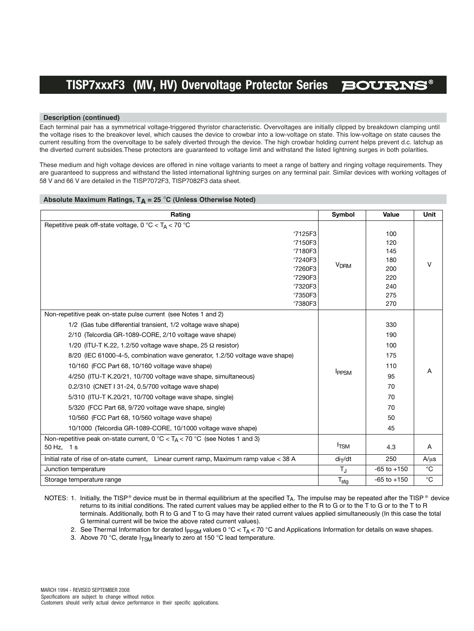#### **Description (continued)**

Each terminal pair has a symmetrical voltage-triggered thyristor characteristic. Overvoltages are initially clipped by breakdown clamping until the voltage rises to the breakover level, which causes the device to crowbar into a low-voltage on state. This low-voltage on state causes the current resulting from the overvoltage to be safely diverted through the device. The high crowbar holding current helps prevent d.c. latchup as the diverted current subsides.These protectors are guaranteed to voltage limit and withstand the listed lightning surges in both polarities.

These medium and high voltage devices are offered in nine voltage variants to meet a range of battery and ringing voltage requirements. They are guaranteed to suppress and withstand the listed international lightning surges on any terminal pair. Similar devices with working voltages of 58 V and 66 V are detailed in the TISP7072F3, TISP7082F3 data sheet.

#### Absolute Maximum Ratings,  $T_A = 25$  °C (Unless Otherwise Noted)

| Rating                                                                                   | Symbol                 | Value           | Unit        |
|------------------------------------------------------------------------------------------|------------------------|-----------------|-------------|
| Repetitive peak off-state voltage, $0^{\circ}$ C < T <sub>A</sub> < 70 °C                |                        |                 |             |
| '7125F3                                                                                  |                        | 100             |             |
| '7150F3                                                                                  |                        | 120             |             |
| '7180F3                                                                                  |                        | 145             |             |
| '7240F3                                                                                  | <b>V<sub>DRM</sub></b> | 180             | v           |
| '7260F3<br>'7290F3                                                                       |                        | 200<br>220      |             |
| '7320F3                                                                                  |                        | 240             |             |
| '7350F3                                                                                  |                        | 275             |             |
| '7380F3                                                                                  |                        | 270             |             |
| Non-repetitive peak on-state pulse current (see Notes 1 and 2)                           |                        |                 |             |
| 1/2 (Gas tube differential transient, 1/2 voltage wave shape)                            |                        | 330             |             |
| 2/10 (Telcordia GR-1089-CORE, 2/10 voltage wave shape)                                   | <b>IPPSM</b>           | 190             | A           |
| 1/20 (ITU-T K.22, 1.2/50 voltage wave shape, 25 $\Omega$ resistor)                       |                        | 100             |             |
| 8/20 (IEC 61000-4-5, combination wave generator, 1.2/50 voltage wave shape)              |                        | 175             |             |
| 10/160 (FCC Part 68, 10/160 voltage wave shape)                                          |                        | 110             |             |
| 4/250 (ITU-T K.20/21, 10/700 voltage wave shape, simultaneous)                           |                        | 95              |             |
| 0.2/310 (CNET I 31-24, 0.5/700 voltage wave shape)                                       |                        | 70              |             |
| 5/310 (ITU-T K.20/21, 10/700 voltage wave shape, single)                                 |                        | 70              |             |
| 5/320 (FCC Part 68, 9/720 voltage wave shape, single)                                    |                        | 70              |             |
| 10/560 (FCC Part 68, 10/560 voltage wave shape)                                          |                        | 50              |             |
| 10/1000 (Telcordia GR-1089-CORE, 10/1000 voltage wave shape)                             |                        | 45              |             |
| Non-repetitive peak on-state current, 0 °C < $T_A$ < 70 °C (see Notes 1 and 3)           |                        |                 |             |
| 50 Hz, 1 s                                                                               | $I_{TSM}$              | 4.3             | A           |
| Initial rate of rise of on-state current, Linear current ramp, Maximum ramp value < 38 A | $di$ <sub>T</sub> /dt  | 250             | $A/\mu s$   |
| Junction temperature                                                                     | $T_{\rm J}$            | $-65$ to $+150$ | $^{\circ}C$ |
| Storage temperature range                                                                | $T_{\text{stg}}$       | $-65$ to $+150$ | $^{\circ}C$ |

NOTES: 1. Initially, the TISP® device must be in thermal equilibrium at the specified T<sub>A</sub>. The impulse may be repeated after the TISP® device returns to its initial conditions. The rated current values may be applied either to the R to G or to the T to G or to the T to R terminals. Additionally, both R to G and T to G may have their rated current values applied simultaneously (In this case the total G terminal current will be twice the above rated current values).

2. See Thermal Information for derated I<sub>PPSM</sub> values 0 °C < T<sub>A</sub> < 70 °C and Applications Information for details on wave shapes.

3. Above 70 °C, derate  $I_{TSM}$  linearly to zero at 150 °C lead temperature.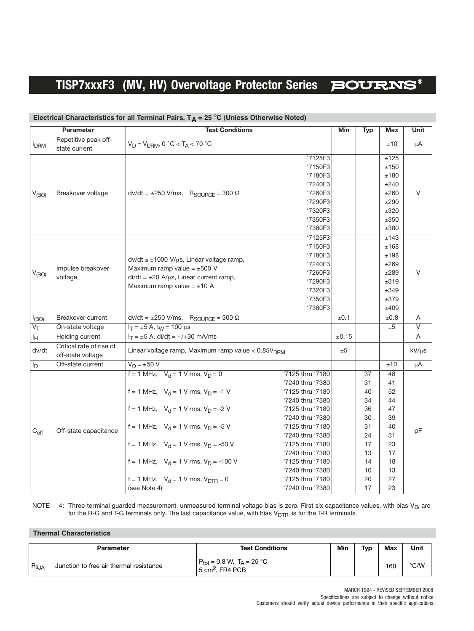|                   | Parameter                                     | <b>Test Conditions</b>                                                                                                                                                                                                                                                                                                                                                                                                                                                                                                                                                                                                      | Min   | <b>Typ</b>                                                                       | <b>Max</b>                                                                       | Unit                    |
|-------------------|-----------------------------------------------|-----------------------------------------------------------------------------------------------------------------------------------------------------------------------------------------------------------------------------------------------------------------------------------------------------------------------------------------------------------------------------------------------------------------------------------------------------------------------------------------------------------------------------------------------------------------------------------------------------------------------------|-------|----------------------------------------------------------------------------------|----------------------------------------------------------------------------------|-------------------------|
| <b>IDRM</b>       | Repetitive peak off-<br>state current         | $V_D = V_{DRM}$ , 0 °C < T <sub>A</sub> < 70 °C                                                                                                                                                                                                                                                                                                                                                                                                                                                                                                                                                                             |       |                                                                                  | ±10                                                                              | μA                      |
| V <sub>(BO)</sub> | Breakover voltage                             | '7125F3<br>'7150F3<br>'7180F3<br>'7240F3<br>$dv/dt = \pm 250$ V/ms, $R_{\text{SOURCE}} = 300 \Omega$<br>'7260F3<br>'7290F3<br>'7320F3<br>'7350F3<br>'7380F3                                                                                                                                                                                                                                                                                                                                                                                                                                                                 |       |                                                                                  | ±125<br>±150<br>±180<br>±240<br>±260<br>±290<br>±320<br>±350<br>±380             | V                       |
| $V_{(BO)}$        | Impulse breakover<br>voltage                  | 7125F3<br>'7150F3<br>'7180F3<br>$dv/dt \leq \pm 1000$ V/us, Linear voltage ramp,<br>'7240F3<br>Maximum ramp value = $\pm 500$ V<br>'7260F3<br>$di/dt = \pm 20$ A/us, Linear current ramp,<br>'7290F3<br>Maximum ramp value = $\pm 10$ A<br>'7320F3<br>'7350F3<br>'7380F3                                                                                                                                                                                                                                                                                                                                                    |       |                                                                                  | ±143<br>±168<br>±198<br>±269<br>±289<br>±319<br>±349<br>±379<br>±409             | V                       |
| $I_{(BO)}$        | Breakover current                             | $dv/dt = \pm 250$ V/ms, $R_{\text{SOLRCE}} = 300 \Omega$                                                                                                                                                                                                                                                                                                                                                                                                                                                                                                                                                                    | ±0.1  |                                                                                  | ±0.8                                                                             | A                       |
| $V_T$             | On-state voltage                              | $I_T = \pm 5$ A, $t_W = 100$ $\mu s$                                                                                                                                                                                                                                                                                                                                                                                                                                                                                                                                                                                        |       |                                                                                  | ±5                                                                               | $\overline{\mathsf{v}}$ |
| Iн                | Holding current                               | $I_T = \pm 5$ A, di/dt = -/+30 mA/ms                                                                                                                                                                                                                                                                                                                                                                                                                                                                                                                                                                                        | ±0.15 |                                                                                  |                                                                                  | A                       |
| dv/dt             | Critical rate of rise of<br>off-state voltage | Linear voltage ramp, Maximum ramp value < 0.85V <sub>DRM</sub>                                                                                                                                                                                                                                                                                                                                                                                                                                                                                                                                                              | ±5    |                                                                                  |                                                                                  | $kV/\mu s$              |
| I <sub>D</sub>    | Off-state current                             | $V_D = \pm 50 V$                                                                                                                                                                                                                                                                                                                                                                                                                                                                                                                                                                                                            |       |                                                                                  | ±10                                                                              | μA                      |
| $C_{\text{off}}$  | Off-state capacitance                         | $f = 1$ MHz, $V_d = 1$ V rms, $V_D = 0$<br>'7125 thru '7180<br>'7240 thru '7380<br>f = 1 MHz, $V_d$ = 1 V rms, $V_D$ = -1 V<br>'7125 thru '7180<br>'7240 thru '7380<br>f = 1 MHz, $V_d$ = 1 V rms, $V_D$ = -2 V<br>'7125 thru '7180<br>'7240 thru '7380<br>f = 1 MHz, $V_d$ = 1 V rms, $V_D$ = -5 V<br>'7125 thru '7180<br>'7240 thru '7380<br>f = 1 MHz, $V_d$ = 1 V rms, $V_D$ = -50 V<br>'7125 thru '7180<br>'7240 thru '7380<br>f = 1 MHz, $V_d$ = 1 V rms, $V_D$ = -100 V<br>'7125 thru '7180<br>'7240 thru '7380<br>f = 1 MHz, $V_d$ = 1 V rms, $V_{DTR}$ = 0<br>'7125 thru '7180<br>'7240 thru '7380<br>(see Note 4) |       | 37<br>31<br>40<br>34<br>36<br>30<br>31<br>24<br>17<br>13<br>14<br>10<br>20<br>17 | 48<br>41<br>52<br>44<br>47<br>39<br>40<br>31<br>23<br>17<br>18<br>13<br>27<br>23 | pF                      |

## Electrical Characteristics for all Terminal Pairs, T<sub>A</sub> = 25 °C (Unless Otherwise Noted)

NOTE 4: Three-terminal guarded measurement, unmeasured terminal voltage bias is zero. First six capacitance values, with bias  $V_{D}$ , are for the R-G and T-G terminals only. The last capacitance value, with bias  $V_{\text{DTR}}$ , is for the T-R terminals.

### **Thermal Characteristics**

|           | Parameter                               | <b>Test Conditions</b>                                                                             | Min | <b>Typ</b> | Max | Unit          |
|-----------|-----------------------------------------|----------------------------------------------------------------------------------------------------|-----|------------|-----|---------------|
| $Re_{JA}$ | Junction to free air thermal resistance | $P_{\text{tot}} = 0.8 \text{ W}, T_A = 25 \text{ }^{\circ}\text{C}$<br>5 cm <sup>2</sup> . FR4 PCB |     |            | 160 | $\degree$ C/W |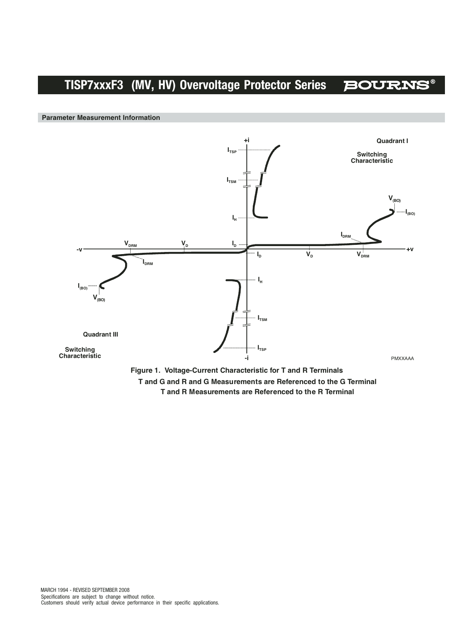**Parameter Measurement Information**



**T and G and R and G Measurements are Referenced to the G Terminal T and R Measurements are Referenced to the R Terminal**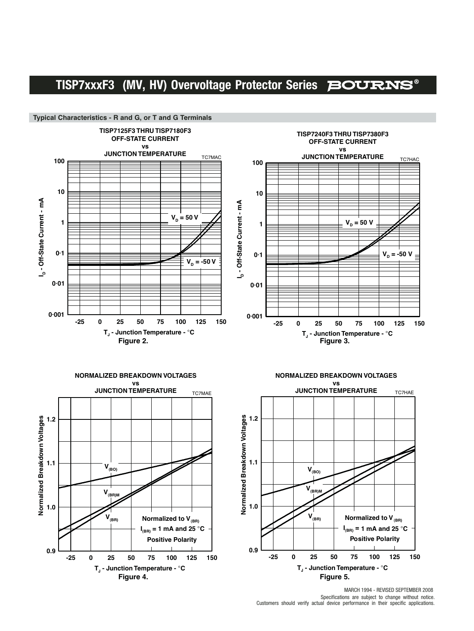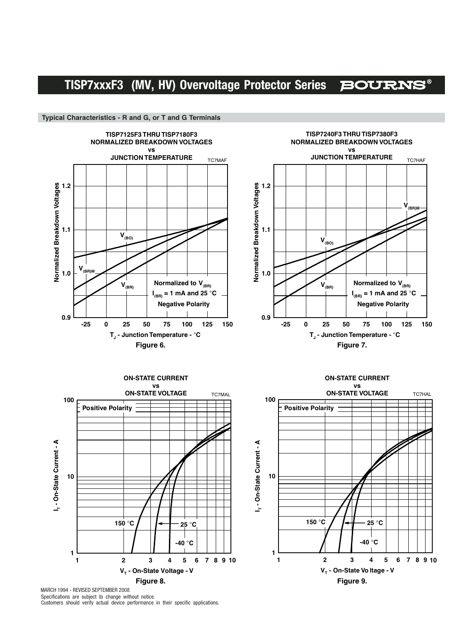**TISP7125F3 THRU TISP7180F3 TISP7240F3 THRU TISP7380F3 NORMALIZED BREAKDOWN VOLTAGES NORMALIZED BREAKDOWN VOLTAGES vs vs JUNCTION TEMPERATURE JUNCTION TEMPERATURE** TC7MAF TC7HAF Normalized Breakdown Voltages **Normalized Breakdown Voltages1.2 V(BR)M 1.1 V(BO) V(BO) 1.0 Normalized to V<sub>(BR)</sub> Normalized to V<sub>(BR)</sub> V(BR) V(BR) I (BR) = 1 mA and 25** °**C I (BR) = 1 mA and 25** °**C Negative Polarity Negative Polarity 0.9 -25 0 25 50 75 100 125 150 TJ - Junction Temperature -** °**C TJ - Junction Temperature -** °**C Figure 6.** Figure 7.

V<sub>-</sub> - On-State Voltage - V **I<sub>T</sub>** - On-State Current - A **T - On-State Current - A 1 10 100** TC7MAL **Positive Polarity ON-STATE CURRENT vs ON-STATE VOLTAGE 150** °**C**

MARCH 1994 - REVISED SEPTEMBER 2008 Specifications are subject to change without notice. Customers should verify actual device performance in their specific applications.





**Typical Characteristics - R and G, or T and G Terminals**

**0.9**

**1.0**

**1.1**

**Normalized Breakdown Voltages**

**1.2**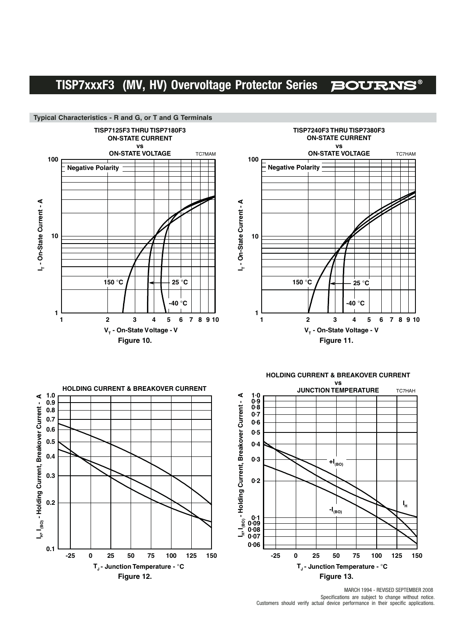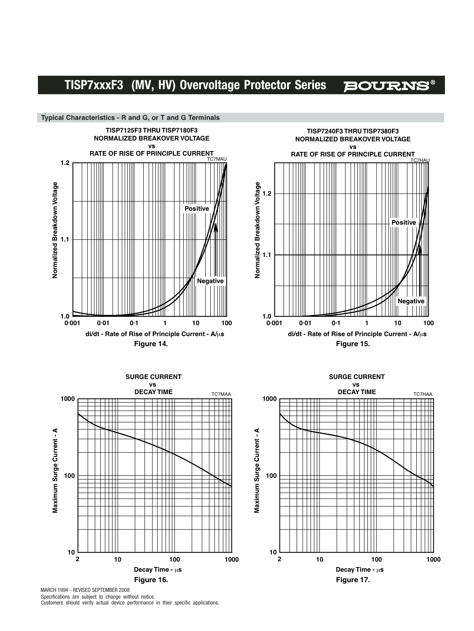**BOURNS®** 

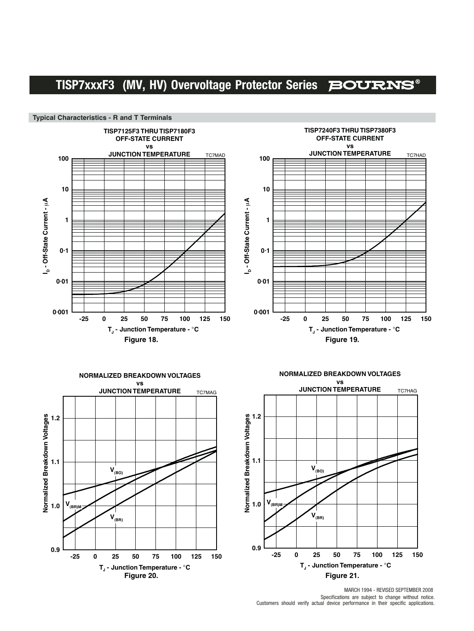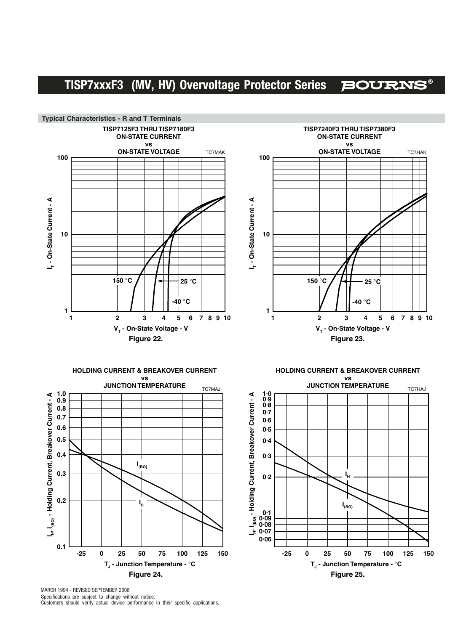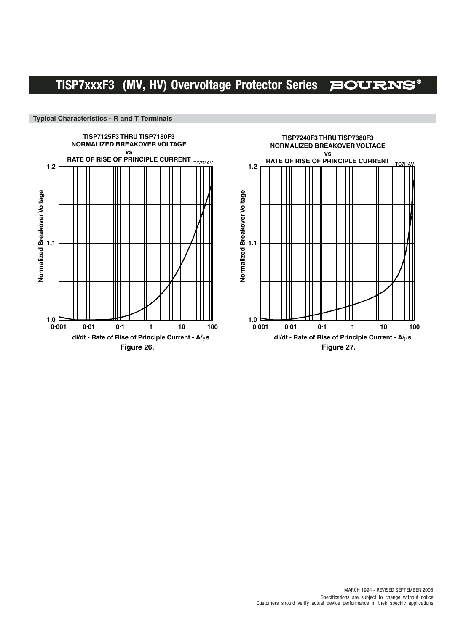

### **Typical Characteristics - R and T Terminals**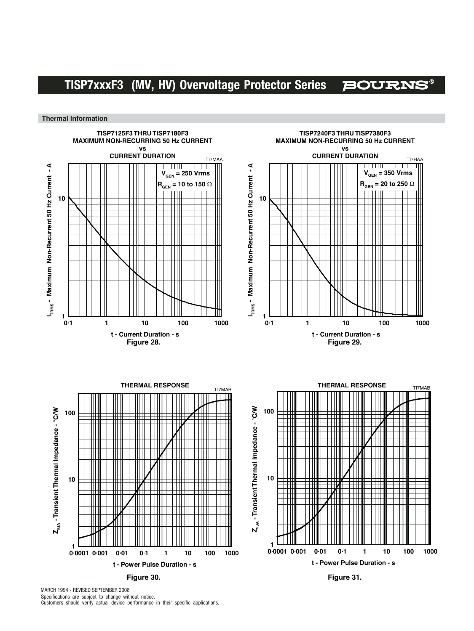**BOURNS®** 

**Thermal Information**

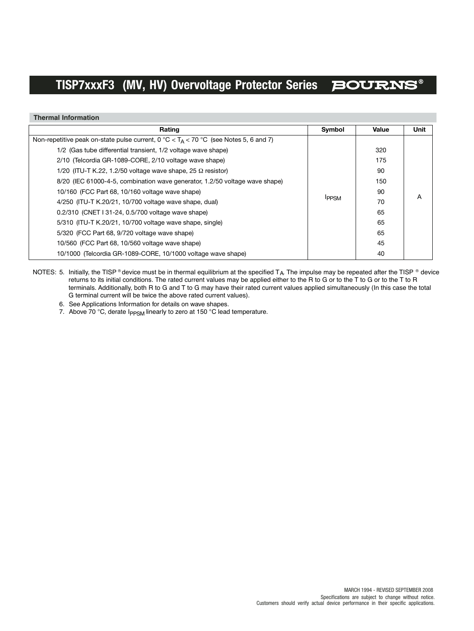**Thermal Information**

| Rating                                                                                              | Symbol       | Value | <b>Unit</b> |
|-----------------------------------------------------------------------------------------------------|--------------|-------|-------------|
| Non-repetitive peak on-state pulse current, $0^{\circ}C < T_A < 70^{\circ}C$ (see Notes 5, 6 and 7) |              |       |             |
| 1/2 (Gas tube differential transient, 1/2 voltage wave shape)                                       |              | 320   |             |
| 2/10 (Telcordia GR-1089-CORE, 2/10 voltage wave shape)                                              |              | 175   |             |
| 1/20 (ITU-T K.22, 1.2/50 voltage wave shape, 25 $\Omega$ resistor)                                  |              | 90    |             |
| 8/20 (IEC 61000-4-5, combination wave generator, 1.2/50 voltage wave shape)                         |              |       |             |
| 10/160 (FCC Part 68, 10/160 voltage wave shape)                                                     |              | 90    |             |
| 4/250 (ITU-T K.20/21, 10/700 voltage wave shape, dual)                                              | <b>IPPSM</b> | 70    | A           |
| 0.2/310 (CNET I 31-24, 0.5/700 voltage wave shape)                                                  |              | 65    |             |
| 5/310 (ITU-T K.20/21, 10/700 voltage wave shape, single)                                            |              | 65    |             |
| 5/320 (FCC Part 68, 9/720 voltage wave shape)                                                       |              | 65    |             |
| 10/560 (FCC Part 68, 10/560 voltage wave shape)                                                     |              | 45    |             |
| 10/1000 (Telcordia GR-1089-CORE, 10/1000 voltage wave shape)                                        |              | 40    |             |

NOTES: 5. Initially, the TISP ® device must be in thermal equilibrium at the specified T<sub>A</sub>. The impulse may be repeated after the TISP ® device returns to its initial conditions. The rated current values may be applied either to the R to G or to the T to G or to the T to R terminals. Additionally, both R to G and T to G may have their rated current values applied simultaneously (In this case the total G terminal current will be twice the above rated current values).

6. See Applications Information for details on wave shapes.

7. Above 70 °C, derate  $I_{PPSM}$  linearly to zero at 150 °C lead temperature.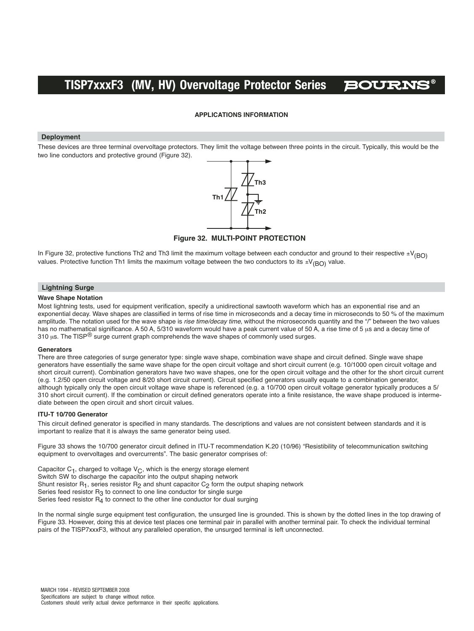

### **APPLICATIONS INFORMATION**

#### **Deployment**

These devices are three terminal overvoltage protectors. They limit the voltage between three points in the circuit. Typically, this would be the two line conductors and protective ground (Figure 32).



**Figure 32. MULTI-POINT PROTECTION**

In Figure 32, protective functions Th2 and Th3 limit the maximum voltage between each conductor and ground to their respective  $\pm V_{(BO)}$ values. Protective function Th1 limits the maximum voltage between the two conductors to its  $\pm V_{(BO)}$  value.

#### **Lightning Surge**

#### **Wave Shape Notation**

Most lightning tests, used for equipment verification, specify a unidirectional sawtooth waveform which has an exponential rise and an exponential decay. Wave shapes are classified in terms of rise time in microseconds and a decay time in microseconds to 50 % of the maximum amplitude. The notation used for the wave shape is rise time/decay time, without the microseconds quantity and the "/" between the two values has no mathematical significance. A 50 A, 5/310 waveform would have a peak current value of 50 A, a rise time of 5 µs and a decay time of 310  $\mu$ s. The TISP<sup>®</sup> surge current graph comprehends the wave shapes of commonly used surges.

#### **Generators**

There are three categories of surge generator type: single wave shape, combination wave shape and circuit defined. Single wave shape generators have essentially the same wave shape for the open circuit voltage and short circuit current (e.g. 10/1000 open circuit voltage and short circuit current). Combination generators have two wave shapes, one for the open circuit voltage and the other for the short circuit current (e.g. 1.2/50 open circuit voltage and 8/20 short circuit current). Circuit specified generators usually equate to a combination generator, although typically only the open circuit voltage wave shape is referenced (e.g. a 10/700 open circuit voltage generator typically produces a 5/ 310 short circuit current). If the combination or circuit defined generators operate into a finite resistance, the wave shape produced is intermediate between the open circuit and short circuit values.

#### **ITU-T 10/700 Generator**

This circuit defined generator is specified in many standards. The descriptions and values are not consistent between standards and it is important to realize that it is always the same generator being used.

Figure 33 shows the 10/700 generator circuit defined in ITU-T recommendation K.20 (10/96) "Resistibility of telecommunication switching equipment to overvoltages and overcurrents". The basic generator comprises of:

Capacitor  $C_1$ , charged to voltage  $V_C$ , which is the energy storage element Switch SW to discharge the capacitor into the output shaping network Shunt resistor R<sub>1</sub>, series resistor R<sub>2</sub> and shunt capacitor C<sub>2</sub> form the output shaping network Series feed resistor  $R_3$  to connect to one line conductor for single surge Series feed resistor  $R<sub>4</sub>$  to connect to the other line conductor for dual surging

In the normal single surge equipment test configuration, the unsurged line is grounded. This is shown by the dotted lines in the top drawing of Figure 33. However, doing this at device test places one terminal pair in parallel with another terminal pair. To check the individual terminal pairs of the TISP7xxxF3, without any paralleled operation, the unsurged terminal is left unconnected.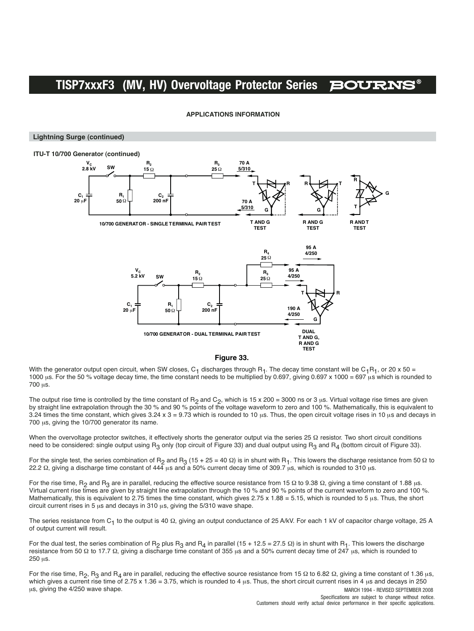#### **APPLICATIONS INFORMATION**

#### **Lightning Surge (continued)**



#### **Figure 33.**

With the generator output open circuit, when SW closes, C<sub>1</sub> discharges through R<sub>1</sub>. The decay time constant will be C<sub>1</sub>R<sub>1</sub>, or 20 x 50 = 1000 us. For the 50 % voltage decay time, the time constant needs to be multiplied by 0.697, giving 0.697 x 1000 = 697 us which is rounded to 700 µs.

The output rise time is controlled by the time constant of R<sub>2</sub> and C<sub>2</sub>, which is 15 x 200 = 3000 ns or 3 µs. Virtual voltage rise times are given by straight line extrapolation through the 30 % and 90 % points of the voltage waveform to zero and 100 %. Mathematically, this is equivalent to 3.24 times the time constant, which gives  $3.24 \times 3 = 9.73$  which is rounded to 10 µs. Thus, the open circuit voltage rises in 10 µs and decays in 700 µs, giving the 10/700 generator its name.

When the overvoltage protector switches, it effectively shorts the generator output via the series 25 Ω resistor. Two short circuit conditions need to be considered: single output using R<sub>3</sub> only (top circuit of Figure 33) and dual output using R<sub>3</sub> and R<sub>4</sub> (bottom circuit of Figure 33).

For the single test, the series combination of R<sub>2</sub> and R<sub>3</sub> (15 + 25 = 40 Ω) is in shunt with R<sub>1</sub>. This lowers the discharge resistance from 50 Ω to 22.2 Ω, giving a discharge time constant of 444 μs and a 50% current decay time of 309.7 μs, which is rounded to 310 μs.

For the rise time, R<sub>2</sub> and R<sub>3</sub> are in parallel, reducing the effective source resistance from 15 Ω to 9.38 Ω, giving a time constant of 1.88 µs. Virtual current rise times are given by straight line extrapolation through the 10 % and 90 % points of the current waveform to zero and 100 %. Mathematically, this is equivalent to 2.75 times the time constant, which gives  $2.75 \times 1.88 = 5.15$ , which is rounded to 5  $\mu$ s. Thus, the short circuit current rises in 5  $\mu$ s and decays in 310  $\mu$ s, giving the 5/310 wave shape.

The series resistance from C<sub>1</sub> to the output is 40 Ω, giving an output conductance of 25 A/kV. For each 1 kV of capacitor charge voltage, 25 A of output current will result.

For the dual test, the series combination of R<sub>2</sub> plus R<sub>3</sub> and R<sub>4</sub> in parallel (15 + 12.5 = 27.5 Ω) is in shunt with R<sub>1</sub>. This lowers the discharge resistance from 50 Ω to 17.7 Ω, giving a discharge time constant of 355 us and a 50% current decay time of 247 us, which is rounded to 250 µs.

MARCH 1994 - REVISED SEPTEMBER 2008 For the rise time,  $R_2$ ,  $R_3$  and  $R_4$  are in parallel, reducing the effective source resistance from 15 Ω to 6.82 Ω, giving a time constant of 1.36 µs, which gives a current rise time of 2.75 x 1.36 = 3.75, which is rounded to 4  $\mu$ s. Thus, the short circuit current rises in 4  $\mu$ s and decays in 250 us, giving the 4/250 wave shape.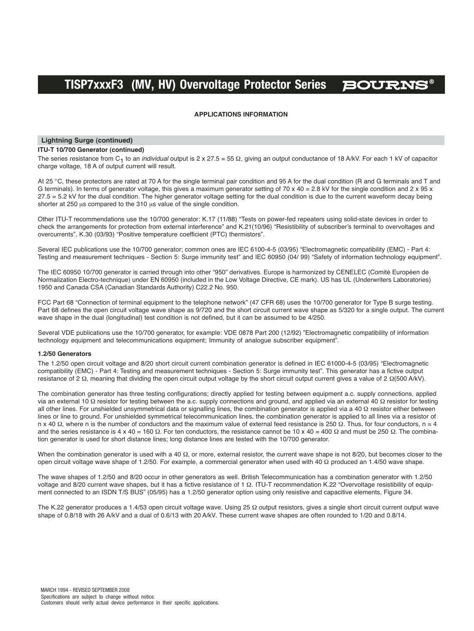#### **APPLICATIONS INFORMATION**

#### **Lightning Surge (continued)**

#### **ITU-T 10/700 Generator (continued)**

The series resistance from C<sub>1</sub> to an *individual* output is 2 x 27.5 = 55  $\Omega$ , giving an output conductance of 18 A/kV. For each 1 kV of capacitor charge voltage, 18 A of output current will result.

At 25 °C, these protectors are rated at 70 A for the single terminal pair condition and 95 A for the dual condition (R and G terminals and T and G terminals). In terms of generator voltage, this gives a maximum generator setting of 70 x 40 = 2.8 kV for the single condition and 2 x 95 x 27.5 = 5.2 kV for the dual condition. The higher generator voltage setting for the dual condition is due to the current waveform decay being shorter at 250 us compared to the 310 us value of the single condition.

Other ITU-T recommendations use the 10/700 generator: K.17 (11/88) "Tests on power-fed repeaters using solid-state devices in order to check the arrangements for protection from external interference" and K.21(10/96) "Resistibility of subscriber's terminal to overvoltages and overcurrents", K.30 (03/93) "Positive temperature coefficient (PTC) thermistors".

Several IEC publications use the 10/700 generator; common ones are IEC 6100-4-5 (03/95) "Electromagnetic compatibility (EMC) - Part 4: Testing and measurement techniques - Section 5: Surge immunity test" and IEC 60950 (04/ 99) "Safety of information technology equipment".

The IEC 60950 10/700 generator is carried through into other "950" derivatives. Europe is harmonized by CENELEC (Comité Européen de Normalization Electro-technique) under EN 60950 (included in the Low Voltage Directive, CE mark). US has UL (Underwriters Laboratories) 1950 and Canada CSA (Canadian Standards Authority) C22.2 No. 950.

FCC Part 68 "Connection of terminal equipment to the telephone network" (47 CFR 68) uses the 10/700 generator for Type B surge testing. Part 68 defines the open circuit voltage wave shape as 9/720 and the short circuit current wave shape as 5/320 for a single output. The current wave shape in the dual (longitudinal) test condition is not defined, but it can be assumed to be 4/250.

Several VDE publications use the 10/700 generator, for example: VDE 0878 Part 200 (12/92) "Electromagnetic compatibility of information technology equipment and telecommunications equipment; Immunity of analogue subscriber equipment".

#### **1.2/50 Generators**

The 1.2/50 open circuit voltage and 8/20 short circuit current combination generator is defined in IEC 61000-4-5 (03/95) "Electromagnetic compatibility (EMC) - Part 4: Testing and measurement techniques - Section 5: Surge immunity test". This generator has a fictive output resistance of 2 Ω, meaning that dividing the open circuit output voltage by the short circuit output current gives a value of 2 Ω(500 A/kV).

The combination generator has three testing configurations; directly applied for testing between equipment a.c. supply connections, applied via an external 10 Ω resistor for testing between the a.c. supply connections and ground, and applied via an external 40 Ω resistor for testing all other lines. For unshielded unsymmetrical data or signalling lines, the combination generator is applied via a 40 Ω resistor either between lines or line to ground. For unshielded symmetrical telecommunication lines, the combination generator is applied to all lines via a resistor of n x 40 Ω, where n is the number of conductors and the maximum value of external feed resistance is 250 Ω. Thus, for four conductors, n = 4 and the series resistance is 4 x 40 = 160  $\Omega$ . For ten conductors, the resistance cannot be 10 x 40 = 400  $\Omega$  and must be 250  $\Omega$ . The combination generator is used for short distance lines; long distance lines are tested with the 10/700 generator.

When the combination generator is used with a 40  $\Omega$ , or more, external resistor, the current wave shape is not 8/20, but becomes closer to the open circuit voltage wave shape of 1.2/50. For example, a commercial generator when used with 40 Ω produced an 1.4/50 wave shape.

The wave shapes of 1.2/50 and 8/20 occur in other generators as well. British Telecommunication has a combination generator with 1.2/50 voltage and 8/20 current wave shapes, but it has a fictive resistance of 1 Ω. ITU-T recommendation K.22 "Overvoltage resistibility of equipment connected to an ISDN T/S BUS" (05/95) has a 1.2/50 generator option using only resistive and capacitive elements, Figure 34.

The K.22 generator produces a 1.4/53 open circuit voltage wave. Using 25 Ω output resistors, gives a single short circuit current output wave shape of 0.8/18 with 26 A/kV and a dual of 0.6/13 with 20 A/kV. These current wave shapes are often rounded to 1/20 and 0.8/14.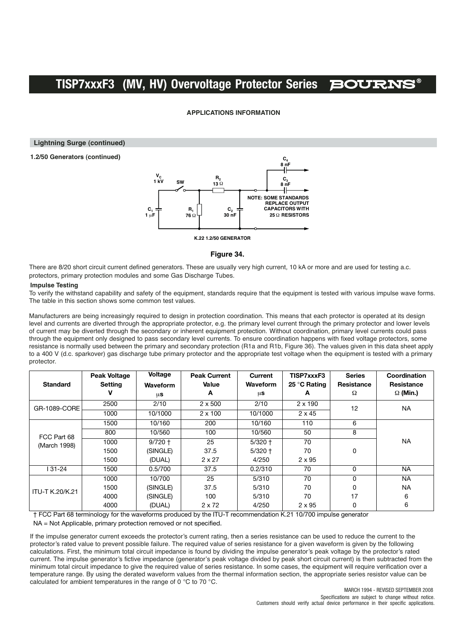#### **APPLICATIONS INFORMATION**

**Lightning Surge (continued)**

**1.2/50 Generators (continued)**



**K.22 1.2/50 GENERATOR**

#### **Figure 34.**

There are 8/20 short circuit current defined generators. These are usually very high current, 10 kA or more and are used for testing a.c. protectors, primary protection modules and some Gas Discharge Tubes.

#### **Impulse Testing**

To verify the withstand capability and safety of the equipment, standards require that the equipment is tested with various impulse wave forms. The table in this section shows some common test values.

Manufacturers are being increasingly required to design in protection coordination. This means that each protector is operated at its design level and currents are diverted through the appropriate protector, e.g. the primary level current through the primary protector and lower levels of current may be diverted through the secondary or inherent equipment protection. Without coordination, primary level currents could pass through the equipment only designed to pass secondary level currents. To ensure coordination happens with fixed voltage protectors, some resistance is normally used between the primary and secondary protection (R1a and R1b, Figure 36). The values given in this data sheet apply to a 400 V (d.c. sparkover) gas discharge tube primary protector and the appropriate test voltage when the equipment is tested with a primary protector.

|                        | <b>Peak Voltage</b> | Voltage         | <b>Peak Current</b> | Current   | TISP7xxxF3     | <b>Series</b> | Coordination    |
|------------------------|---------------------|-----------------|---------------------|-----------|----------------|---------------|-----------------|
| <b>Standard</b>        | <b>Setting</b>      | <b>Waveform</b> | Value               | Waveform  | 25 °C Rating   | Resistance    | Resistance      |
|                        |                     | μs              | A                   | $\mu$ s   | А              | Ω             | $\Omega$ (Min.) |
| GR-1089-CORE           | 2500                | 2/10            | $2 \times 500$      | 2/10      | $2 \times 190$ | 12            | <b>NA</b>       |
|                        | 1000                | 10/1000         | $2 \times 100$      | 10/1000   | $2 \times 45$  |               |                 |
|                        | 1500                | 10/160          | 200                 | 10/160    | 110            | 6             |                 |
| FCC Part 68            | 800                 | 10/560          | 100                 | 10/560    | 50             | 8             |                 |
| (March 1998)           | 1000                | $9/720 +$       | 25                  | $5/320 +$ | 70             |               | <b>NA</b>       |
|                        | 1500                | (SINGLE)        | 37.5                | $5/320 +$ | 70             | 0             |                 |
|                        | 1500                | (DUAL)          | $2 \times 27$       | 4/250     | $2 \times 95$  |               |                 |
| 31-24                  | 1500                | 0.5/700         | 37.5                | 0.2/310   | 70             | 0             | <b>NA</b>       |
|                        | 1000                | 10/700          | 25                  | 5/310     | 70             | 0             | <b>NA</b>       |
| <b>ITU-T K.20/K.21</b> | 1500                | (SINGLE)        | 37.5                | 5/310     | 70             | 0             | <b>NA</b>       |
|                        | 4000                | (SINGLE)        | 100                 | 5/310     | 70             | 17            | 6               |
| $\sim$ $   -$          | 4000                | (DUAL)          | $2 \times 72$       | 4/250     | $2 \times 95$  | 0             | 6               |

† FCC Part 68 terminology for the waveforms produced by the ITU-T recommendation K.21 10/700 impulse generator

NA = Not Applicable, primary protection removed or not specified.

If the impulse generator current exceeds the protector's current rating, then a series resistance can be used to reduce the current to the protector's rated value to prevent possible failure. The required value of series resistance for a given waveform is given by the following calculations. First, the minimum total circuit impedance is found by dividing the impulse generator's peak voltage by the protector's rated current. The impulse generator's fictive impedance (generator's peak voltage divided by peak short circuit current) is then subtracted from the minimum total circuit impedance to give the required value of series resistance. In some cases, the equipment will require verification over a temperature range. By using the derated waveform values from the thermal information section, the appropriate series resistor value can be calculated for ambient temperatures in the range of 0 °C to 70 °C.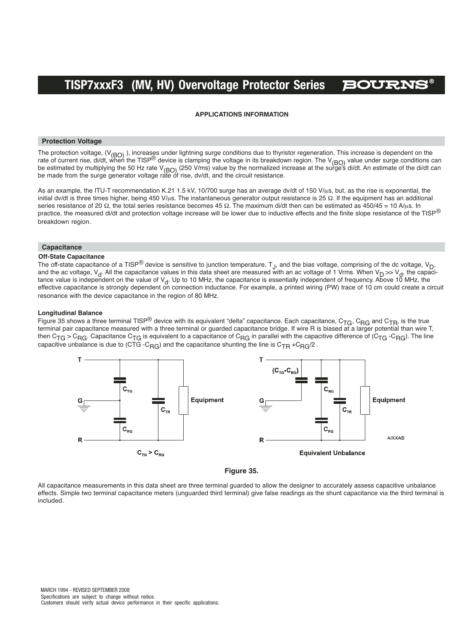#### **APPLICATIONS INFORMATION**

#### **Protection Voltage**

The protection voltage, (V<sub>(BO)</sub>), increases under lightning surge conditions due to thyristor regeneration. This increase is dependent on the rate of current rise, di/dt, when the TISP<sup>®</sup> device is clamping the voltage in its breakdown region. The V<sub>(BO)</sub> value under surge conditions can be estimated by multiplying the 50 Hz rate V<sub>(BO)</sub> (250 V/ms) value by the normalized increase at the surge's di/dt. An estimate of the di/dt can<br>be made from the surge generator voltage rate of rise, dv/dt, and the circui

As an example, the ITU-T recommendation K.21 1.5 kV, 10/700 surge has an average dv/dt of 150 V/µs, but, as the rise is exponential, the initial dv/dt is three times higher, being 450 V/μs. The instantaneous generator output resistance is 25 Ω. If the equipment has an additional series resistance of 20  $\Omega$ , the total series resistance becomes 45  $\Omega$ . The maximum di/dt then can be estimated as 450/45 = 10 A/µs. In practice, the measured di/dt and protection voltage increase will be lower due to inductive effects and the finite slope resistance of the TISP® breakdown region.

#### **Capacitance**

#### **Off-State Capacitance**

The off-state capacitance of a TISP<sup>®</sup> device is sensitive to junction temperature,  $T_{\rm J}$ , and the bias voltage, comprising of the dc voltage, V<sub>D</sub>, and the ac voltage,  $V_d$ . All the capacitance values in this data sheet are measured with an ac voltage of 1 Vrms. When  $V_D \gg V_d$ , the capacitance value is independent on the value of V<sub>d</sub>. Up to 10 MHz, the capacitance is essentially independent of frequency. Above 10 MHz, the effective capacitance is strongly dependent on connection inductance. For example, a printed wiring (PW) trace of 10 cm could create a circuit resonance with the device capacitance in the region of 80 MHz.

#### **Longitudinal Balance**

Figure 35 shows a three terminal TISP® device with its equivalent "delta" capacitance. Each capacitance, C<sub>TG</sub>, C<sub>RG</sub> and C<sub>TR</sub>, is the true<br>terminal pair capacitance measured with a three terminal or guarded capacitance b then C<sub>TG</sub> > C<sub>RG</sub>. Capacitance C<sub>TG</sub> is equivalent to a capacitance of C<sub>RG</sub> in parallel with the capacitive difference of (C<sub>TG</sub> -C<sub>RG</sub>). The line capacitive unbalance is due to (CTG -C<sub>RG</sub>) and the capacitance shunting the line is C<sub>TR</sub> +C<sub>RG</sub>/2.



**Figure 35.** 

All capacitance measurements in this data sheet are three terminal guarded to allow the designer to accurately assess capacitive unbalance effects. Simple two terminal capacitance meters (unguarded third terminal) give false readings as the shunt capacitance via the third terminal is included.